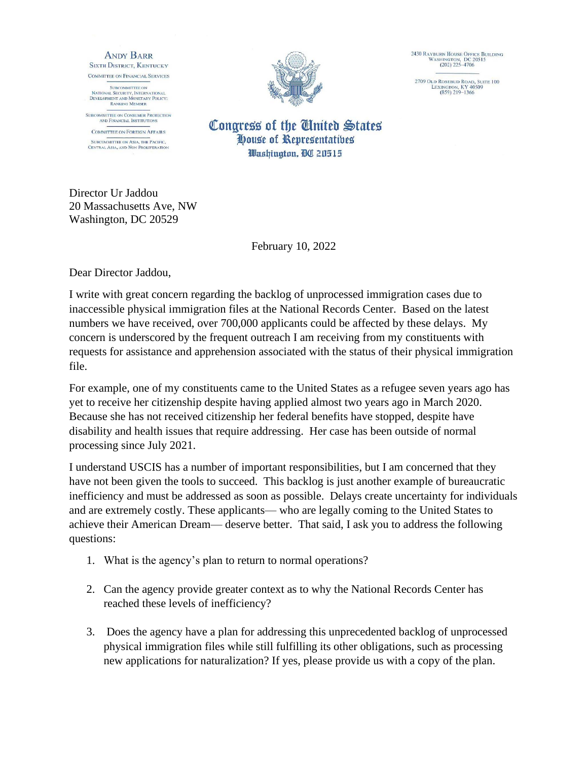**ANDY BARR SIXTH DISTRICT, KENTUCKY** COMMITTEE ON FINANCIAL SERVICES

**SUBCOMMITTEE ON** SUBCOMMITTEE ON<br>NATIONAL SECURITY, INTERNATIONAL<br>DEVELOPMENT AND MONETARY POLICY:<br>RANKING MEMBER

SUBCOMMITTEE ON CONSUMER PROTECTION<br>AND FINANCIAL INSTITUTIONS

**COMMITTEE ON FOREIGN AFFAIRS SUBCOMMITTEE ON ASIA, THE PACIFIC,<br>CENTRAL ASIA, AND NON PROLIFERATION** 



2430 RAYBURN HOUSE OFFICE BUILDING<br>WASHINGTON, DC 20515<br>(202) 225-4706

2709 Old Rosebud Road, Suite 100<br>LEXINGTON, KY 40509<br>(859) 219–1366

Congress of the United States House of Representatibes Washington, DC 20515

Director Ur Jaddou 20 Massachusetts Ave, NW Washington, DC 20529

February 10, 2022

Dear Director Jaddou,

I write with great concern regarding the backlog of unprocessed immigration cases due to inaccessible physical immigration files at the National Records Center. Based on the latest numbers we have received, over 700,000 applicants could be affected by these delays. My concern is underscored by the frequent outreach I am receiving from my constituents with requests for assistance and apprehension associated with the status of their physical immigration file.

For example, one of my constituents came to the United States as a refugee seven years ago has yet to receive her citizenship despite having applied almost two years ago in March 2020. Because she has not received citizenship her federal benefits have stopped, despite have disability and health issues that require addressing. Her case has been outside of normal processing since July 2021.

I understand USCIS has a number of important responsibilities, but I am concerned that they have not been given the tools to succeed. This backlog is just another example of bureaucratic inefficiency and must be addressed as soon as possible. Delays create uncertainty for individuals and are extremely costly. These applicants— who are legally coming to the United States to achieve their American Dream— deserve better. That said, I ask you to address the following questions:

- 1. What is the agency's plan to return to normal operations?
- 2. Can the agency provide greater context as to why the National Records Center has reached these levels of inefficiency?
- 3. Does the agency have a plan for addressing this unprecedented backlog of unprocessed physical immigration files while still fulfilling its other obligations, such as processing new applications for naturalization? If yes, please provide us with a copy of the plan.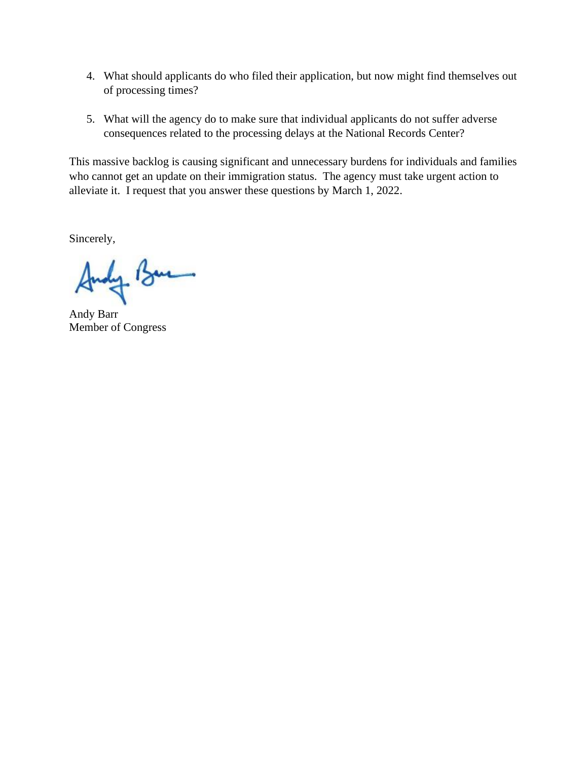- 4. What should applicants do who filed their application, but now might find themselves out of processing times?
- 5. What will the agency do to make sure that individual applicants do not suffer adverse consequences related to the processing delays at the National Records Center?

This massive backlog is causing significant and unnecessary burdens for individuals and families who cannot get an update on their immigration status. The agency must take urgent action to alleviate it. I request that you answer these questions by March 1, 2022.

Sincerely,

oly Bar

Andy Barr Member of Congress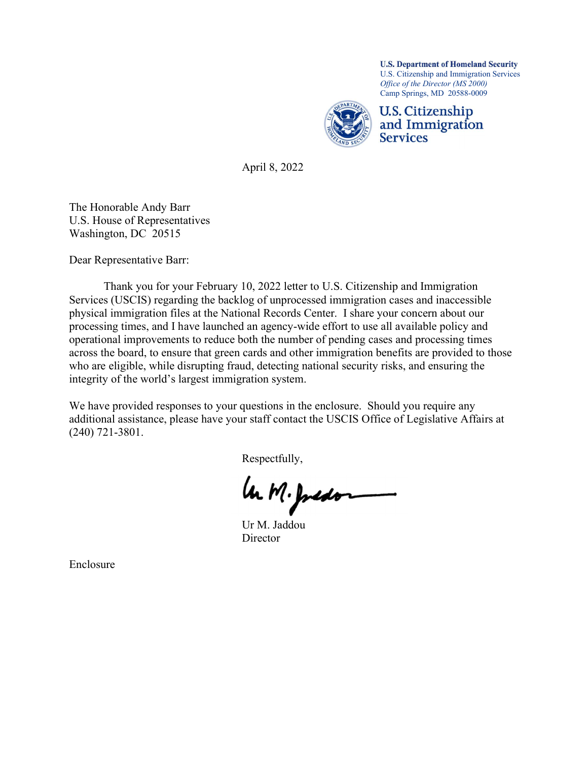

April 8, 2022

The Honorable Andy Barr U.S. House of Representatives Washington, DC 20515

Dear Representative Barr:

 Thank you for your February 10, 2022 letter to U.S. Citizenship and Immigration Services (USCIS) regarding the backlog of unprocessed immigration cases and inaccessible physical immigration files at the National Records Center. I share your concern about our processing times, and I have launched an agency-wide effort to use all available policy and operational improvements to reduce both the number of pending cases and processing times across the board, to ensure that green cards and other immigration benefits are provided to those who are eligible, while disrupting fraud, detecting national security risks, and ensuring the integrity of the world's largest immigration system.

We have provided responses to your questions in the enclosure. Should you require any additional assistance, please have your staff contact the USCIS Office of Legislative Affairs at (240) 721-3801.

Respectfully,

Ur M. Juston

**Director** 

Enclosure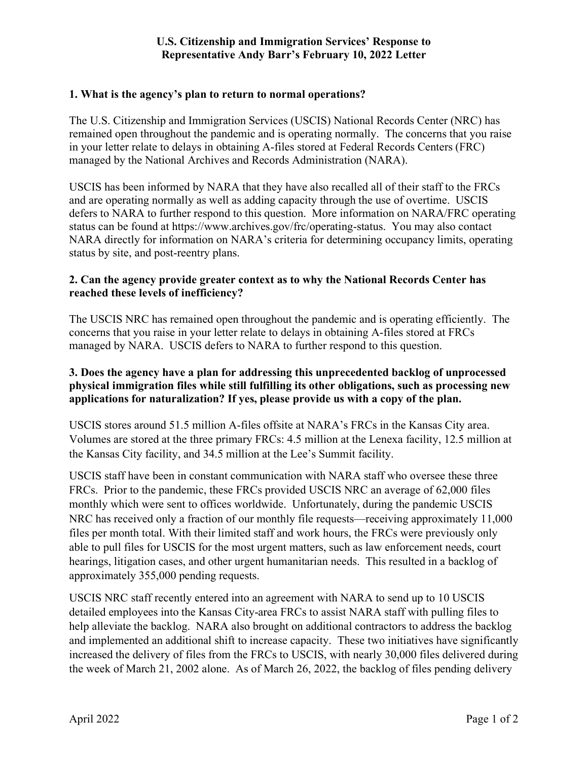### **U.S. Citizenship and Immigration Services' Response to Representative Andy Barr's February 10, 2022 Letter**

### **1. What is the agency's plan to return to normal operations?**

The U.S. Citizenship and Immigration Services (USCIS) National Records Center (NRC) has remained open throughout the pandemic and is operating normally. The concerns that you raise in your letter relate to delays in obtaining A-files stored at Federal Records Centers (FRC) managed by the National Archives and Records Administration (NARA).

USCIS has been informed by NARA that they have also recalled all of their staff to the FRCs and are operating normally as well as adding capacity through the use of overtime. USCIS defers to NARA to further respond to this question. More information on NARA/FRC operating status can be found at https://www.archives.gov/frc/operating-status. You may also contact NARA directly for information on NARA's criteria for determining occupancy limits, operating status by site, and post-reentry plans.

### **2. Can the agency provide greater context as to why the National Records Center has reached these levels of inefficiency?**

The USCIS NRC has remained open throughout the pandemic and is operating efficiently. The concerns that you raise in your letter relate to delays in obtaining A-files stored at FRCs managed by NARA. USCIS defers to NARA to further respond to this question.

# **3. Does the agency have a plan for addressing this unprecedented backlog of unprocessed physical immigration files while still fulfilling its other obligations, such as processing new applications for naturalization? If yes, please provide us with a copy of the plan.**

USCIS stores around 51.5 million A-files offsite at NARA's FRCs in the Kansas City area. Volumes are stored at the three primary FRCs: 4.5 million at the Lenexa facility, 12.5 million at the Kansas City facility, and 34.5 million at the Lee's Summit facility.

USCIS staff have been in constant communication with NARA staff who oversee these three FRCs. Prior to the pandemic, these FRCs provided USCIS NRC an average of 62,000 files monthly which were sent to offices worldwide. Unfortunately, during the pandemic USCIS NRC has received only a fraction of our monthly file requests—receiving approximately 11,000 files per month total. With their limited staff and work hours, the FRCs were previously only able to pull files for USCIS for the most urgent matters, such as law enforcement needs, court hearings, litigation cases, and other urgent humanitarian needs. This resulted in a backlog of approximately 355,000 pending requests.

USCIS NRC staff recently entered into an agreement with NARA to send up to 10 USCIS detailed employees into the Kansas City-area FRCs to assist NARA staff with pulling files to help alleviate the backlog. NARA also brought on additional contractors to address the backlog and implemented an additional shift to increase capacity. These two initiatives have significantly increased the delivery of files from the FRCs to USCIS, with nearly 30,000 files delivered during the week of March 21, 2002 alone. As of March 26, 2022, the backlog of files pending delivery